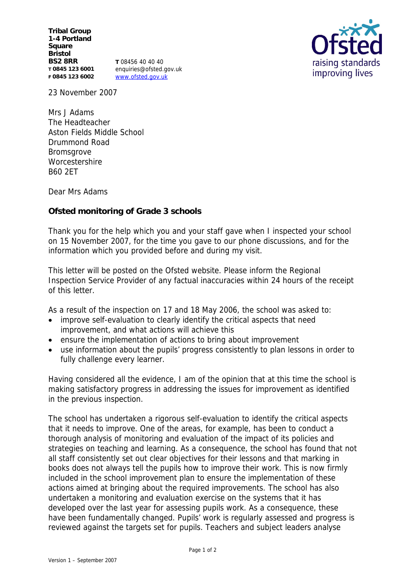**Tribal Group 1-4 Portland Square Bristol BS2 8RR T 0845 123 6001 F 0845 123 6002**

**T** 08456 40 40 40 enquiries@ofsted.gov.uk www.ofsted.gov.uk



23 November 2007

Mrs J Adams The Headteacher Aston Fields Middle School Drummond Road Bromsgrove **Worcestershire** B60 2ET

Dear Mrs Adams

**Ofsted monitoring of Grade 3 schools** 

Thank you for the help which you and your staff gave when I inspected your school on 15 November 2007, for the time you gave to our phone discussions, and for the information which you provided before and during my visit.

This letter will be posted on the Ofsted website. Please inform the Regional Inspection Service Provider of any factual inaccuracies within 24 hours of the receipt of this letter.

As a result of the inspection on 17 and 18 May 2006, the school was asked to:

- improve self-evaluation to clearly identify the critical aspects that need improvement, and what actions will achieve this
- ensure the implementation of actions to bring about improvement
- use information about the pupils' progress consistently to plan lessons in order to fully challenge every learner.

Having considered all the evidence, I am of the opinion that at this time the school is making satisfactory progress in addressing the issues for improvement as identified in the previous inspection.

The school has undertaken a rigorous self-evaluation to identify the critical aspects that it needs to improve. One of the areas, for example, has been to conduct a thorough analysis of monitoring and evaluation of the impact of its policies and strategies on teaching and learning. As a consequence, the school has found that not all staff consistently set out clear objectives for their lessons and that marking in books does not always tell the pupils how to improve their work. This is now firmly included in the school improvement plan to ensure the implementation of these actions aimed at bringing about the required improvements. The school has also undertaken a monitoring and evaluation exercise on the systems that it has developed over the last year for assessing pupils work. As a consequence, these have been fundamentally changed. Pupils' work is regularly assessed and progress is reviewed against the targets set for pupils. Teachers and subject leaders analyse